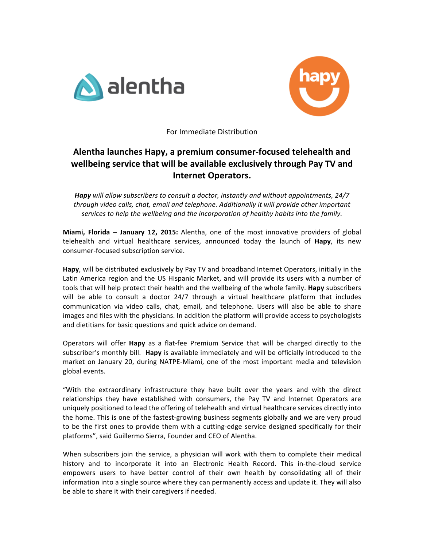



For Immediate Distribution

## **Alentha launches Hapy, a premium consumer-focused telehealth and wellbeing** service that will be available exclusively through Pay TV and **Internet Operators.**

**Hapy** will allow subscribers to consult a doctor, instantly and without appointments, 24/7 through video calls, chat, email and telephone. Additionally it will provide other important *services to help the wellbeing and the incorporation of healthy habits into the family.* 

**Miami, Florida – January 12, 2015:** Alentha, one of the most innovative providers of global telehealth and virtual healthcare services, announced today the launch of **Hapy**, its new consumer-focused subscription service.

**Hapy**, will be distributed exclusively by Pay TV and broadband Internet Operators, initially in the Latin America region and the US Hispanic Market, and will provide its users with a number of tools that will help protect their health and the wellbeing of the whole family. Hapy subscribers will be able to consult a doctor 24/7 through a virtual healthcare platform that includes communication via video calls, chat, email, and telephone. Users will also be able to share images and files with the physicians. In addition the platform will provide access to psychologists and dietitians for basic questions and quick advice on demand.

Operators will offer **Hapy** as a flat-fee Premium Service that will be charged directly to the subscriber's monthly bill. Hapy is available immediately and will be officially introduced to the market on January 20, during NATPE-Miami, one of the most important media and television global events.

"With the extraordinary infrastructure they have built over the years and with the direct relationships they have established with consumers, the Pay TV and Internet Operators are uniquely positioned to lead the offering of telehealth and virtual healthcare services directly into the home. This is one of the fastest-growing business segments globally and we are very proud to be the first ones to provide them with a cutting-edge service designed specifically for their platforms", said Guillermo Sierra, Founder and CEO of Alentha.

When subscribers join the service, a physician will work with them to complete their medical history and to incorporate it into an Electronic Health Record. This in-the-cloud service empowers users to have better control of their own health by consolidating all of their information into a single source where they can permanently access and update it. They will also be able to share it with their caregivers if needed.